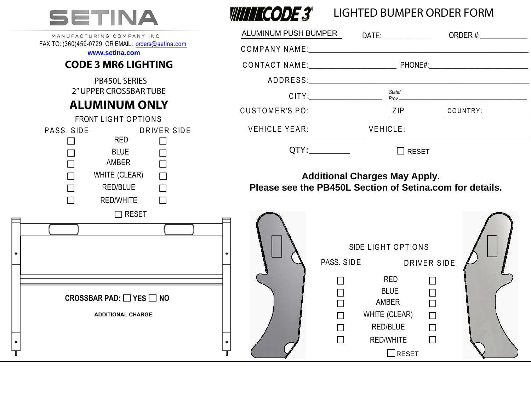

| MANUFACTURING COMPANY INC                                                                                        | ALUMINUM PUSH BUMPER                                     |                                                                                                                                                       |  |
|------------------------------------------------------------------------------------------------------------------|----------------------------------------------------------|-------------------------------------------------------------------------------------------------------------------------------------------------------|--|
| FAX TO: (360)459-0729 OR EMAIL: orders@setina.com<br>www.setina.com                                              | COMPANY NAME: NAME:                                      |                                                                                                                                                       |  |
| <b>CODE 3 MR6 LIGHTING</b>                                                                                       |                                                          |                                                                                                                                                       |  |
| <b>PB450L SERIES</b>                                                                                             |                                                          |                                                                                                                                                       |  |
| 2" UPPER CROSSBAR TUBE                                                                                           |                                                          |                                                                                                                                                       |  |
| <b>ALUMINUM ONLY</b><br><b>FRONT LIGHT OPTIONS</b>                                                               | CUSTOMER'S PO: ZIP COUNTRY:                              |                                                                                                                                                       |  |
| PASS. SIDE<br>DRIVER SIDE                                                                                        | VEHICLE YEAR: VEHICLE:                                   |                                                                                                                                                       |  |
| RED<br>$\Box$<br>$\Box$<br><b>BLUE</b><br>$\Box$<br>AMBER<br>$\Box$<br>$\Box$                                    |                                                          | $\Box$ RESET                                                                                                                                          |  |
| $\Box$<br><b>WHITE (CLEAR)</b><br>$\Box$<br>RED/BLUE<br>$\Box$<br>$\Box$<br>$\Box$<br><b>RED/WHITE</b><br>$\Box$ | Please see the PB450L Section of Setina.com for details. | <b>Additional Charges May Apply.</b>                                                                                                                  |  |
| $\Box$ RESET<br>CROSSBAR PAD: $\Box$ YES $\Box$ NO<br><b>ADDITIONAL CHARGE</b>                                   | $\Box$                                                   | SIDE LIGHT OPTIONS<br>PASS. SIDE DRIVER SIDE<br>RED<br>П<br>$\Box$<br><b>BLUE</b><br>AMBER<br>$\Box$<br>$\Box$<br>WHITE (CLEAR)<br>RED/BLUE<br>$\Box$ |  |
|                                                                                                                  | П                                                        | $\Box$<br><b>RED/WHITE</b><br>$\Box$ RESET                                                                                                            |  |

## WITH CODE 3<sup>\*</sup> LIGHTED BUMPER ORDER FORM